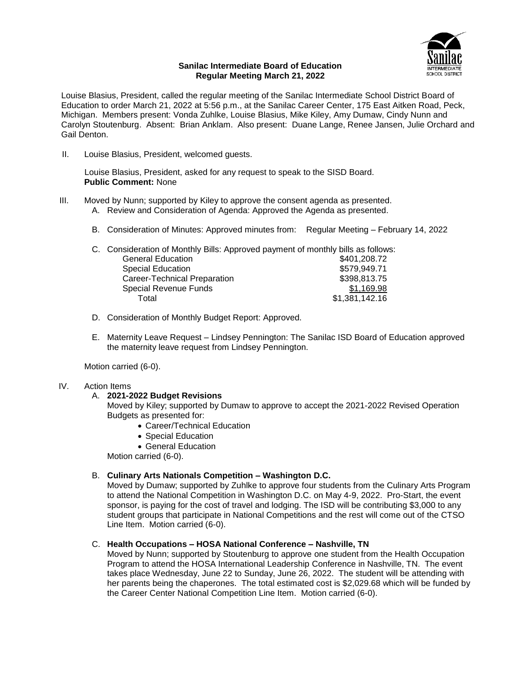

# **Sanilac Intermediate Board of Education Regular Meeting March 21, 2022**

Louise Blasius, President, called the regular meeting of the Sanilac Intermediate School District Board of Education to order March 21, 2022 at 5:56 p.m., at the Sanilac Career Center, 175 East Aitken Road, Peck, Michigan. Members present: Vonda Zuhlke, Louise Blasius, Mike Kiley, Amy Dumaw, Cindy Nunn and Carolyn Stoutenburg. Absent: Brian Anklam. Also present: Duane Lange, Renee Jansen, Julie Orchard and Gail Denton.

II. Louise Blasius, President, welcomed guests.

Louise Blasius, President, asked for any request to speak to the SISD Board. **Public Comment:** None

- III. Moved by Nunn; supported by Kiley to approve the consent agenda as presented.
	- A. Review and Consideration of Agenda: Approved the Agenda as presented.
	- B. Consideration of Minutes: Approved minutes from: Regular Meeting February 14, 2022

| C. Consideration of Monthly Bills: Approved payment of monthly bills as follows: |                |
|----------------------------------------------------------------------------------|----------------|
| <b>General Education</b>                                                         | \$401,208.72   |
| Special Education                                                                | \$579,949.71   |
| Career-Technical Preparation                                                     | \$398,813.75   |
| <b>Special Revenue Funds</b>                                                     | \$1,169.98     |
| Total                                                                            | \$1,381,142.16 |

- D. Consideration of Monthly Budget Report: Approved.
- E. Maternity Leave Request Lindsey Pennington: The Sanilac ISD Board of Education approved the maternity leave request from Lindsey Pennington.

Motion carried (6-0).

# IV. Action Items

# A. **2021-2022 Budget Revisions**

Moved by Kiley; supported by Dumaw to approve to accept the 2021-2022 Revised Operation Budgets as presented for:

- Career/Technical Education
- Special Education
- General Education

Motion carried (6-0).

# B. **Culinary Arts Nationals Competition – Washington D.C.**

Moved by Dumaw; supported by Zuhlke to approve four students from the Culinary Arts Program to attend the National Competition in Washington D.C. on May 4-9, 2022. Pro-Start, the event sponsor, is paying for the cost of travel and lodging. The ISD will be contributing \$3,000 to any student groups that participate in National Competitions and the rest will come out of the CTSO Line Item. Motion carried (6-0).

# C. **Health Occupations – HOSA National Conference – Nashville, TN**

Moved by Nunn; supported by Stoutenburg to approve one student from the Health Occupation Program to attend the HOSA International Leadership Conference in Nashville, TN. The event takes place Wednesday, June 22 to Sunday, June 26, 2022. The student will be attending with her parents being the chaperones. The total estimated cost is \$2,029.68 which will be funded by the Career Center National Competition Line Item. Motion carried (6-0).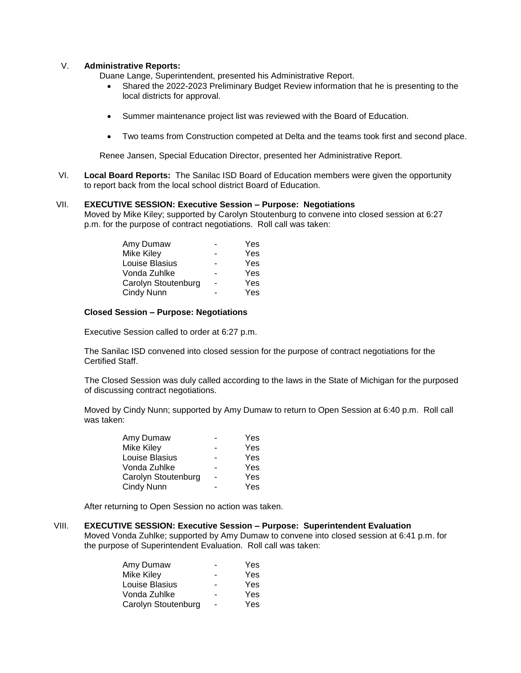# V. **Administrative Reports:**

Duane Lange, Superintendent, presented his Administrative Report.

- Shared the 2022-2023 Preliminary Budget Review information that he is presenting to the local districts for approval.
- Summer maintenance project list was reviewed with the Board of Education.
- Two teams from Construction competed at Delta and the teams took first and second place.

Renee Jansen, Special Education Director, presented her Administrative Report.

VI. **Local Board Reports:** The Sanilac ISD Board of Education members were given the opportunity to report back from the local school district Board of Education.

# VII. **EXECUTIVE SESSION: Executive Session – Purpose: Negotiations**

Moved by Mike Kiley; supported by Carolyn Stoutenburg to convene into closed session at 6:27 p.m. for the purpose of contract negotiations. Roll call was taken:

| Amy Dumaw           | Yes |
|---------------------|-----|
| Mike Kiley          | Yes |
| Louise Blasius      | Yes |
| Vonda Zuhlke        | Yes |
| Carolyn Stoutenburg | Yes |
| Cindy Nunn          | Yes |
|                     |     |

# **Closed Session – Purpose: Negotiations**

Executive Session called to order at 6:27 p.m.

The Sanilac ISD convened into closed session for the purpose of contract negotiations for the Certified Staff.

The Closed Session was duly called according to the laws in the State of Michigan for the purposed of discussing contract negotiations.

Moved by Cindy Nunn; supported by Amy Dumaw to return to Open Session at 6:40 p.m. Roll call was taken:

| Amy Dumaw           | Yes |
|---------------------|-----|
| Mike Kiley          | Yes |
| Louise Blasius      | Yes |
| Vonda Zuhlke        | Yes |
| Carolyn Stoutenburg | Yes |
| Cindy Nunn          | Yes |

After returning to Open Session no action was taken.

# VIII. **EXECUTIVE SESSION: Executive Session – Purpose: Superintendent Evaluation**

Moved Vonda Zuhlke; supported by Amy Dumaw to convene into closed session at 6:41 p.m. for the purpose of Superintendent Evaluation. Roll call was taken:

|   | Yes |
|---|-----|
|   | Yes |
|   | Yes |
|   | Yes |
| - | Yes |
|   |     |